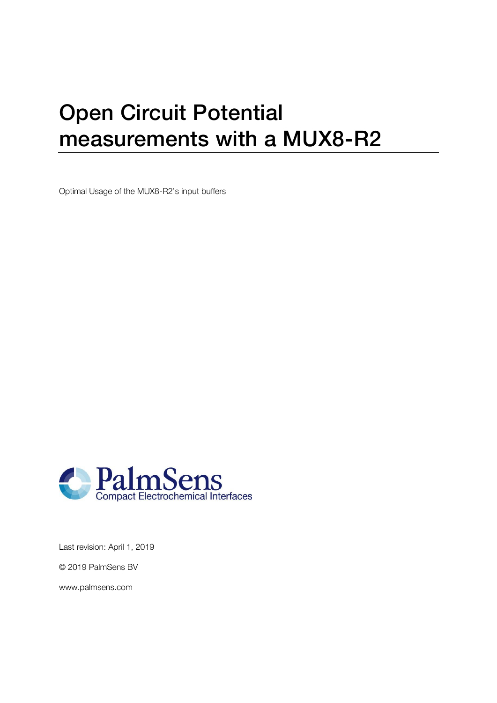# Open Circuit Potential measurements with a MUX8-R2

Optimal Usage of the MUX8-R2's input buffers



Last revision: April 1, 2019

© 2019 PalmSens BV

www.palmsens.com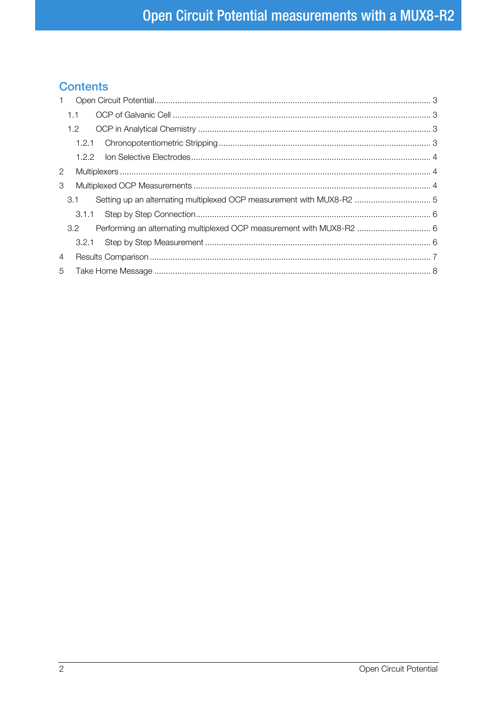## **Contents**

| $\mathbf{1}$         |                                                                                           |  |
|----------------------|-------------------------------------------------------------------------------------------|--|
|                      | 1.1                                                                                       |  |
|                      | 1.2                                                                                       |  |
|                      |                                                                                           |  |
|                      |                                                                                           |  |
| $\mathbf{2}^{\circ}$ |                                                                                           |  |
| 3                    |                                                                                           |  |
|                      | Setting up an alternating multiplexed OCP measurement with MUX8-R2  5<br>3.1              |  |
|                      |                                                                                           |  |
|                      | Performing an alternating multiplexed OCP measurement with MUX8-R2  6<br>3.2 <sup>°</sup> |  |
|                      |                                                                                           |  |
| 4                    |                                                                                           |  |
| 5                    |                                                                                           |  |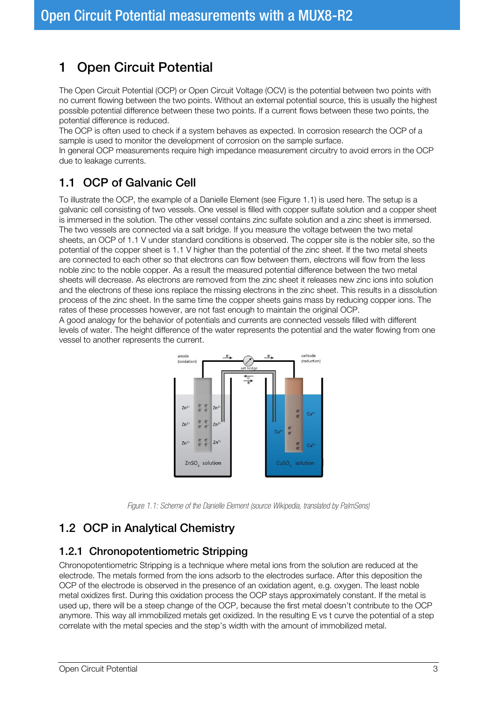# <span id="page-2-0"></span>1 Open Circuit Potential

The Open Circuit Potential (OCP) or Open Circuit Voltage (OCV) is the potential between two points with no current flowing between the two points. Without an external potential source, this is usually the highest possible potential difference between these two points. If a current flows between these two points, the potential difference is reduced.

The OCP is often used to check if a system behaves as expected. In corrosion research the OCP of a sample is used to monitor the development of corrosion on the sample surface.

In general OCP measurements require high impedance measurement circuitry to avoid errors in the OCP due to leakage currents.

## <span id="page-2-1"></span>1.1 OCP of Galvanic Cell

To illustrate the OCP, the example of a Danielle Element (see [Figure 1.1\)](#page-2-4) is used here. The setup is a galvanic cell consisting of two vessels. One vessel is filled with copper sulfate solution and a copper sheet is immersed in the solution. The other vessel contains zinc sulfate solution and a zinc sheet is immersed. The two vessels are connected via a salt bridge. If you measure the voltage between the two metal sheets, an OCP of 1.1 V under standard conditions is observed. The copper site is the nobler site, so the potential of the copper sheet is 1.1 V higher than the potential of the zinc sheet. If the two metal sheets are connected to each other so that electrons can flow between them, electrons will flow from the less noble zinc to the noble copper. As a result the measured potential difference between the two metal sheets will decrease. As electrons are removed from the zinc sheet it releases new zinc ions into solution and the electrons of these ions replace the missing electrons in the zinc sheet. This results in a dissolution process of the zinc sheet. In the same time the copper sheets gains mass by reducing copper ions. The rates of these processes however, are not fast enough to maintain the original OCP.

A good analogy for the behavior of potentials and currents are connected vessels filled with different levels of water. The height difference of the water represents the potential and the water flowing from one vessel to another represents the current.



*Figure 1.1: Scheme of the Danielle Element (source Wikipedia, translated by PalmSens)*

## <span id="page-2-4"></span><span id="page-2-2"></span>1.2 OCP in Analytical Chemistry

#### <span id="page-2-3"></span>1.2.1 Chronopotentiometric Stripping

Chronopotentiometric Stripping is a technique where metal ions from the solution are reduced at the electrode. The metals formed from the ions adsorb to the electrodes surface. After this deposition the OCP of the electrode is observed in the presence of an oxidation agent, e.g. oxygen. The least noble metal oxidizes first. During this oxidation process the OCP stays approximately constant. If the metal is used up, there will be a steep change of the OCP, because the first metal doesn't contribute to the OCP anymore. This way all immobilized metals get oxidized. In the resulting E vs t curve the potential of a step correlate with the metal species and the step's width with the amount of immobilized metal.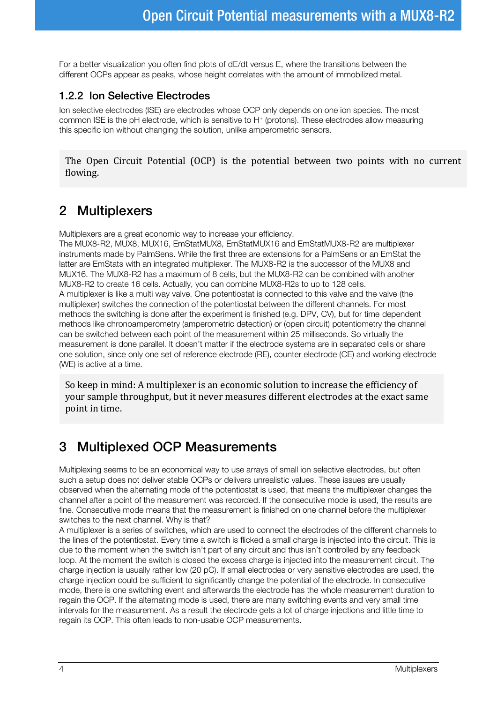For a better visualization you often find plots of dE/dt versus E, where the transitions between the different OCPs appear as peaks, whose height correlates with the amount of immobilized metal.

#### <span id="page-3-0"></span>1.2.2 Ion Selective Electrodes

Ion selective electrodes (ISE) are electrodes whose OCP only depends on one ion species. The most common ISE is the pH electrode, which is sensitive to H<sup>+</sup> (protons). These electrodes allow measuring this specific ion without changing the solution, unlike amperometric sensors.

The Open Circuit Potential (OCP) is the potential between two points with no current flowing.

## <span id="page-3-1"></span>2 Multiplexers

Multiplexers are a great economic way to increase your efficiency.

The MUX8-R2, MUX8, MUX16, EmStatMUX8, EmStatMUX16 and EmStatMUX8-R2 are multiplexer instruments made by PalmSens. While the first three are extensions for a PalmSens or an EmStat the latter are EmStats with an integrated multiplexer. The MUX8-R2 is the successor of the MUX8 and MUX16. The MUX8-R2 has a maximum of 8 cells, but the MUX8-R2 can be combined with another MUX8-R2 to create 16 cells. Actually, you can combine MUX8-R2s to up to 128 cells. A multiplexer is like a multi way valve. One potentiostat is connected to this valve and the valve (the multiplexer) switches the connection of the potentiostat between the different channels. For most methods the switching is done after the experiment is finished (e.g. DPV, CV), but for time dependent methods like chronoamperometry (amperometric detection) or (open circuit) potentiometry the channel can be switched between each point of the measurement within 25 milliseconds. So virtually the measurement is done parallel. It doesn't matter if the electrode systems are in separated cells or share one solution, since only one set of reference electrode (RE), counter electrode (CE) and working electrode (WE) is active at a time.

So keep in mind: A multiplexer is an economic solution to increase the efficiency of your sample throughput, but it never measures different electrodes at the exact same point in time.

## <span id="page-3-2"></span>3 Multiplexed OCP Measurements

Multiplexing seems to be an economical way to use arrays of small ion selective electrodes, but often such a setup does not deliver stable OCPs or delivers unrealistic values. These issues are usually observed when the alternating mode of the potentiostat is used, that means the multiplexer changes the channel after a point of the measurement was recorded. If the consecutive mode is used, the results are fine. Consecutive mode means that the measurement is finished on one channel before the multiplexer switches to the next channel. Why is that?

A multiplexer is a series of switches, which are used to connect the electrodes of the different channels to the lines of the potentiostat. Every time a switch is flicked a small charge is injected into the circuit. This is due to the moment when the switch isn't part of any circuit and thus isn't controlled by any feedback loop. At the moment the switch is closed the excess charge is injected into the measurement circuit. The charge injection is usually rather low (20 pC). If small electrodes or very sensitive electrodes are used, the charge injection could be sufficient to significantly change the potential of the electrode. In consecutive mode, there is one switching event and afterwards the electrode has the whole measurement duration to regain the OCP. If the alternating mode is used, there are many switching events and very small time intervals for the measurement. As a result the electrode gets a lot of charge injections and little time to regain its OCP. This often leads to non-usable OCP measurements.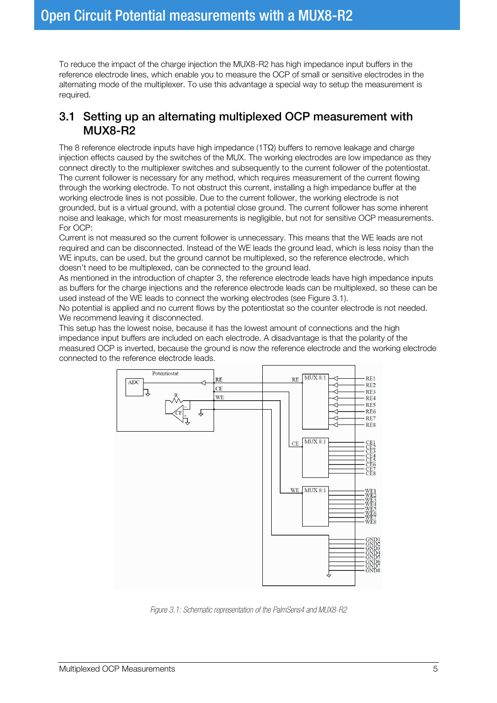To reduce the impact of the charge injection the MUX8-R2 has high impedance input buffers in the reference electrode lines, which enable you to measure the OCP of small or sensitive electrodes in the alternating mode of the multiplexer. To use this advantage a special way to setup the measurement is required.

#### <span id="page-4-0"></span>3.1 Setting up an alternating multiplexed OCP measurement with MUX8-R2

The 8 reference electrode inputs have high impedance (1TΩ) buffers to remove leakage and charge injection effects caused by the switches of the MUX. The working electrodes are low impedance as they connect directly to the multiplexer switches and subsequently to the current follower of the potentiostat. The current follower is necessary for any method, which requires measurement of the current flowing through the working electrode. To not obstruct this current, installing a high impedance buffer at the working electrode lines is not possible. Due to the current follower, the working electrode is not grounded, but is a virtual ground, with a potential close ground. The current follower has some inherent noise and leakage, which for most measurements is negligible, but not for sensitive OCP measurements. For OCP:

Current is not measured so the current follower is unnecessary. This means that the WE leads are not required and can be disconnected. Instead of the WE leads the ground lead, which is less noisy than the WE inputs, can be used, but the ground cannot be multiplexed, so the reference electrode, which doesn't need to be multiplexed, can be connected to the ground lead.

As mentioned in the introduction of chapter [3,](#page-3-2) the reference electrode leads have high impedance inputs as buffers for the charge injections and the reference electrode leads can be multiplexed, so these can be used instead of the WE leads to connect the working electrodes (see [Figure 3.1\).](#page-4-1)

No potential is applied and no current flows by the potentiostat so the counter electrode is not needed. We recommend leaving it disconnected.

This setup has the lowest noise, because it has the lowest amount of connections and the high impedance input buffers are included on each electrode. A disadvantage is that the polarity of the measured OCP is inverted, because the ground is now the reference electrode and the working electrode connected to the reference electrode leads.



<span id="page-4-1"></span>*Figure 3.1: Schematic representation of the PalmSens4 and MUX8-R2*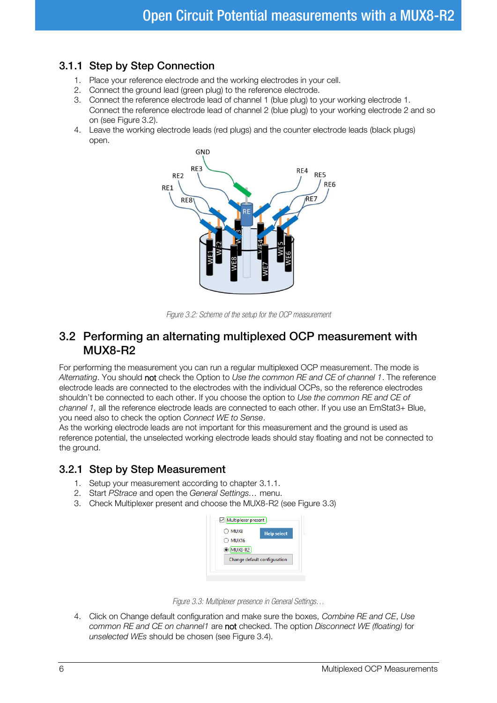### <span id="page-5-0"></span>3.1.1 Step by Step Connection

- 1. Place your reference electrode and the working electrodes in your cell.
- 2. Connect the ground lead (green plug) to the reference electrode.
- 3. Connect the reference electrode lead of channel 1 (blue plug) to your working electrode 1. Connect the reference electrode lead of channel 2 (blue plug) to your working electrode 2 and so on (see [Figure 3.2\)](#page-5-3).
- 4. Leave the working electrode leads (red plugs) and the counter electrode leads (black plugs) open.



*Figure 3.2: Scheme of the setup for the OCP measurement*

#### <span id="page-5-3"></span><span id="page-5-1"></span>3.2 Performing an alternating multiplexed OCP measurement with MUX8-R2

For performing the measurement you can run a regular multiplexed OCP measurement. The mode is *Alternating*. You should not check the Option to *Use the common RE and CE of channel 1*. The reference electrode leads are connected to the electrodes with the individual OCPs, so the reference electrodes shouldn't be connected to each other. If you choose the option to *Use the common RE and CE of channel 1,* all the reference electrode leads are connected to each other. If you use an EmStat3+ Blue, you need also to check the option *Connect WE to Sense*.

As the working electrode leads are not important for this measurement and the ground is used as reference potential, the unselected working electrode leads should stay floating and not be connected to the ground.

#### <span id="page-5-2"></span>3.2.1 Step by Step Measurement

- 1. Setup your measurement according to chapter [3.1.1.](#page-5-0)
- 2. Start *PStrace* and open the *General Settings…* menu.
- 3. Check Multiplexer present and choose the MUX8-R2 (see [Figure 3.3\)](#page-5-4)

| MUX <sub>8</sub> | <b>Help select</b>           |
|------------------|------------------------------|
| MUX16            |                              |
| O MUX8-R2        |                              |
|                  | Change default configuration |



<span id="page-5-4"></span>4. Click on Change default configuration and make sure the boxes, *Combine RE and CE*, *Use common RE and CE on channel1* are not checked. The option *Disconnect WE (floating)* for *unselected WEs* should be chosen (see [Figure 3.4\)](#page-6-1).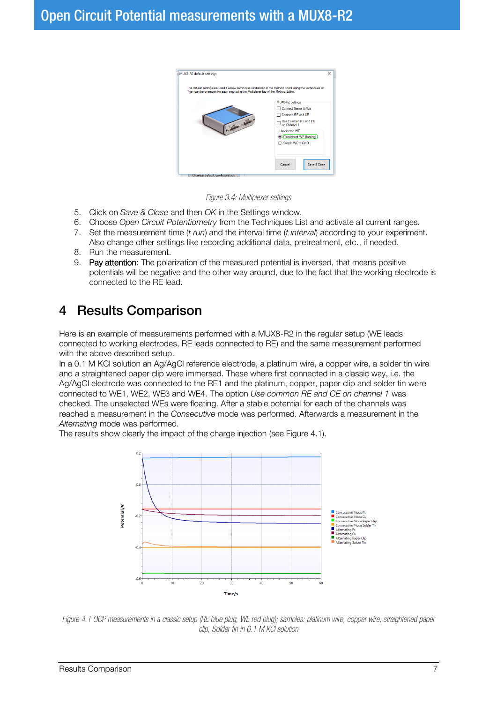

*Figure 3.4: Multiplexer settings*

- <span id="page-6-1"></span>5. Click on *Save & Close* and then *OK* in the Settings window.
- 6. Choose *Open Circuit Potentiometry* from the Techniques List and activate all current ranges.
- 7. Set the measurement time (*t run*) and the interval time (*t interval*) according to your experiment. Also change other settings like recording additional data, pretreatment, etc., if needed.
- 8. Run the measurement.
- 9. Pay attention: The polarization of the measured potential is inversed, that means positive potentials will be negative and the other way around, due to the fact that the working electrode is connected to the RE lead.

## <span id="page-6-0"></span>4 Results Comparison

Here is an example of measurements performed with a MUX8-R2 in the regular setup (WE leads connected to working electrodes, RE leads connected to RE) and the same measurement performed with the above described setup.

In a 0.1 M KCl solution an Ag/AgCl reference electrode, a platinum wire, a copper wire, a solder tin wire and a straightened paper clip were immersed. These where first connected in a classic way, i.e. the Ag/AgCl electrode was connected to the RE1 and the platinum, copper, paper clip and solder tin were connected to WE1, WE2, WE3 and WE4. The option *Use common RE and CE on channel 1* was checked. The unselected WEs were floating. After a stable potential for each of the channels was reached a measurement in the *Consecutive* mode was performed. Afterwards a measurement in the *Alternating* mode was performed.

The results show clearly the impact of the charge injection (see [Figure 4.1\)](#page-6-2).



<span id="page-6-2"></span>*Figure 4.1 OCP measurements in a classic setup (RE blue plug, WE red plug); samples: platinum wire, copper wire, straightened paper clip, Solder tin in 0.1 M KCl solution*